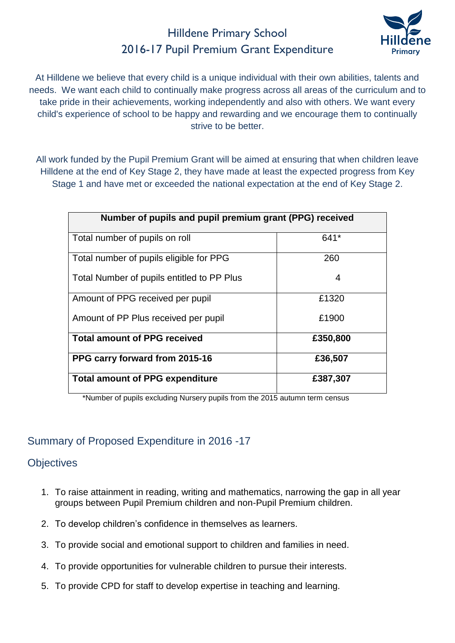### Hilldene Primary School 2016-17 Pupil Premium Grant Expenditure



At Hilldene we believe that every child is a unique individual with their own abilities, talents and needs. We want each child to continually make progress across all areas of the curriculum and to take pride in their achievements, working independently and also with others. We want every child's experience of school to be happy and rewarding and we encourage them to continually strive to be better.

All work funded by the Pupil Premium Grant will be aimed at ensuring that when children leave Hilldene at the end of Key Stage 2, they have made at least the expected progress from Key Stage 1 and have met or exceeded the national expectation at the end of Key Stage 2.

| Number of pupils and pupil premium grant (PPG) received |          |  |  |  |
|---------------------------------------------------------|----------|--|--|--|
| Total number of pupils on roll                          | 641*     |  |  |  |
| Total number of pupils eligible for PPG                 | 260      |  |  |  |
| Total Number of pupils entitled to PP Plus              | 4        |  |  |  |
| Amount of PPG received per pupil                        | £1320    |  |  |  |
| Amount of PP Plus received per pupil                    | £1900    |  |  |  |
| <b>Total amount of PPG received</b>                     | £350,800 |  |  |  |
| PPG carry forward from 2015-16                          | £36,507  |  |  |  |
| <b>Total amount of PPG expenditure</b>                  | £387,307 |  |  |  |

\*Number of pupils excluding Nursery pupils from the 2015 autumn term census

### Summary of Proposed Expenditure in 2016 -17

#### **Objectives**

- 1. To raise attainment in reading, writing and mathematics, narrowing the gap in all year groups between Pupil Premium children and non-Pupil Premium children.
- 2. To develop children's confidence in themselves as learners.
- 3. To provide social and emotional support to children and families in need.
- 4. To provide opportunities for vulnerable children to pursue their interests.
- 5. To provide CPD for staff to develop expertise in teaching and learning.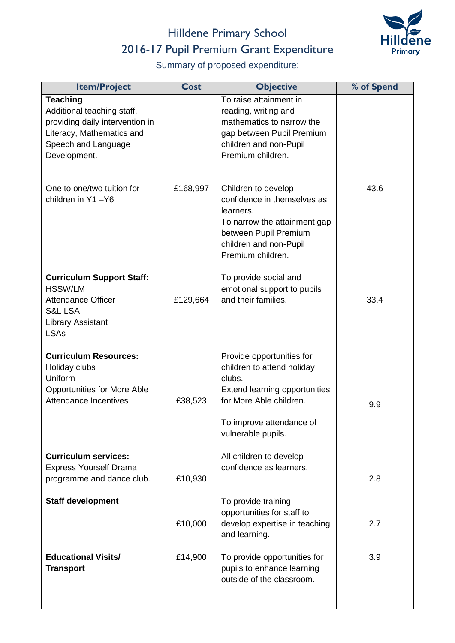

# Hilldene Primary School 2016-17 Pupil Premium Grant Expenditure

Summary of proposed expenditure:

| <b>Item/Project</b>                                                                                                                                                                                     | <b>Cost</b> | <b>Objective</b>                                                                                                                                                                                                                                                                                                                   | % of Spend |
|---------------------------------------------------------------------------------------------------------------------------------------------------------------------------------------------------------|-------------|------------------------------------------------------------------------------------------------------------------------------------------------------------------------------------------------------------------------------------------------------------------------------------------------------------------------------------|------------|
| <b>Teaching</b><br>Additional teaching staff,<br>providing daily intervention in<br>Literacy, Mathematics and<br>Speech and Language<br>Development.<br>One to one/two tuition for<br>children in Y1-Y6 | £168,997    | To raise attainment in<br>reading, writing and<br>mathematics to narrow the<br>gap between Pupil Premium<br>children and non-Pupil<br>Premium children.<br>Children to develop<br>confidence in themselves as<br>learners.<br>To narrow the attainment gap<br>between Pupil Premium<br>children and non-Pupil<br>Premium children. | 43.6       |
| <b>Curriculum Support Staff:</b><br><b>HSSW/LM</b><br><b>Attendance Officer</b><br><b>S&amp;L LSA</b><br><b>Library Assistant</b><br><b>LSAs</b>                                                        | £129,664    | To provide social and<br>emotional support to pupils<br>and their families.                                                                                                                                                                                                                                                        | 33.4       |
| <b>Curriculum Resources:</b><br>Holiday clubs<br>Uniform<br><b>Opportunities for More Able</b><br><b>Attendance Incentives</b>                                                                          | £38,523     | Provide opportunities for<br>children to attend holiday<br>clubs.<br>Extend learning opportunities<br>for More Able children.<br>To improve attendance of<br>vulnerable pupils.                                                                                                                                                    | 9.9        |
| <b>Curriculum services:</b><br><b>Express Yourself Drama</b><br>programme and dance club.                                                                                                               | £10,930     | All children to develop<br>confidence as learners.                                                                                                                                                                                                                                                                                 | 2.8        |
| <b>Staff development</b>                                                                                                                                                                                | £10,000     | To provide training<br>opportunities for staff to<br>develop expertise in teaching<br>and learning.                                                                                                                                                                                                                                | 2.7        |
| <b>Educational Visits/</b><br><b>Transport</b>                                                                                                                                                          | £14,900     | To provide opportunities for<br>pupils to enhance learning<br>outside of the classroom.                                                                                                                                                                                                                                            | 3.9        |